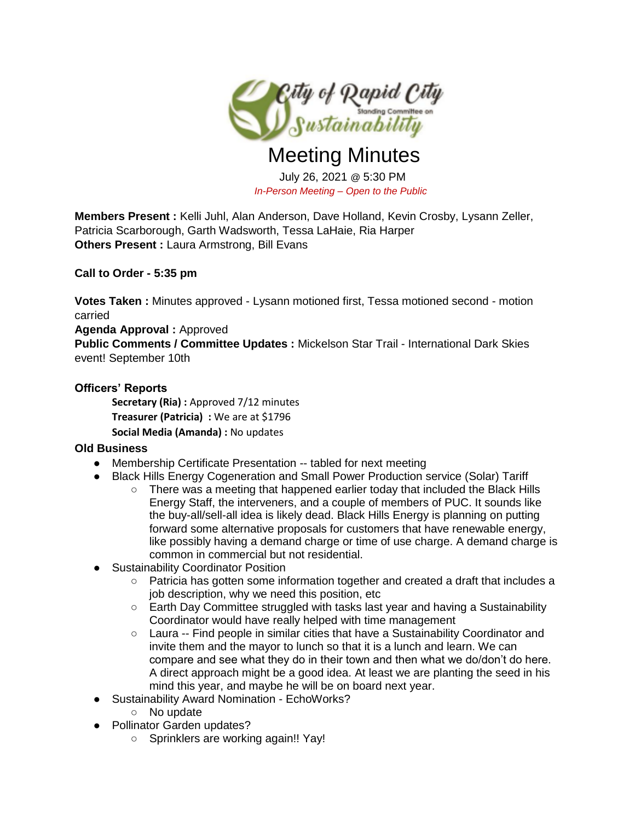

# Meeting Minutes

July 26, 2021 @ 5:30 PM *In-Person Meeting – Open to the Public* 

**Members Present :** Kelli Juhl, Alan Anderson, Dave Holland, Kevin Crosby, Lysann Zeller, Patricia Scarborough, Garth Wadsworth, Tessa LaHaie, Ria Harper **Others Present : Laura Armstrong, Bill Evans** 

## **Call to Order - 5:35 pm**

**Votes Taken :** Minutes approved - Lysann motioned first, Tessa motioned second - motion carried

### **Agenda Approval :** Approved

**Public Comments / Committee Updates :** Mickelson Star Trail - International Dark Skies event! September 10th

## **Officers' Reports**

**Secretary (Ria):** Approved 7/12 minutes **Treasurer (Patricia) :** We are at \$1796 **Social Media (Amanda) :** No updates

### **Old Business**

- Membership Certificate Presentation -- tabled for next meeting
- Black Hills Energy Cogeneration and Small Power Production service (Solar) Tariff
	- $\circ$  There was a meeting that happened earlier today that included the Black Hills Energy Staff, the interveners, and a couple of members of PUC. It sounds like the buy-all/sell-all idea is likely dead. Black Hills Energy is planning on putting forward some alternative proposals for customers that have renewable energy, like possibly having a demand charge or time of use charge. A demand charge is common in commercial but not residential.
- Sustainability Coordinator Position
	- Patricia has gotten some information together and created a draft that includes a job description, why we need this position, etc
	- $\circ$  Earth Day Committee struggled with tasks last year and having a Sustainability Coordinator would have really helped with time management
	- Laura -- Find people in similar cities that have a Sustainability Coordinator and invite them and the mayor to lunch so that it is a lunch and learn. We can compare and see what they do in their town and then what we do/don't do here. A direct approach might be a good idea. At least we are planting the seed in his mind this year, and maybe he will be on board next year.
- Sustainability Award Nomination EchoWorks?
	- No update
- Pollinator Garden updates?
	- Sprinklers are working again!! Yay!